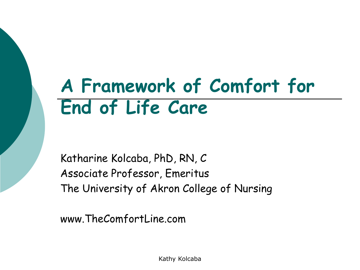# **A Framework of Comfort for End of Life Care**

Katharine Kolcaba, PhD, RN, C Associate Professor, Emeritus The University of Akron College of Nursing

www.TheComfortLine.com

Kathy Kolcaba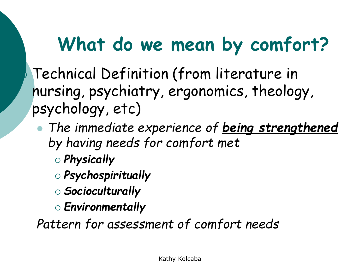## **What do we mean by comfort?**

 Technical Definition (from literature in nursing, psychiatry, ergonomics, theology, psychology, etc)

- ⚫ *The immediate experience of being strengthened by having needs for comfort met* 
	- *Physically*
	- *Psychospiritually*
	- *Socioculturally*
	- *Environmentally*

*Pattern for assessment of comfort needs*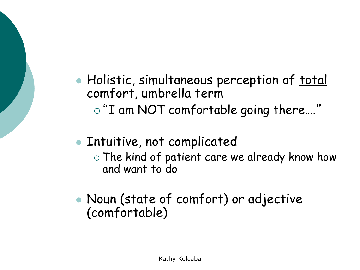- Holistic, simultaneous perception of total comfort, umbrella term
	- "I am NOT comfortable going there…."
- ⚫ Intuitive, not complicated
	- The kind of patient care we already know how and want to do
- ⚫ Noun (state of comfort) or adjective (comfortable)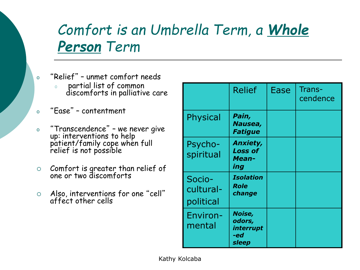## *Comfort is an Umbrella Term, a Whole Person Term*

- <sup>o</sup> "Relief" unmet comfort needs
	- o partial list of common discomforts in palliative care
- <sup>o</sup> "Ease" contentment
- <sup>o</sup> "Transcendence" we never give up: interventions to help patient/family cope when full relief is not possible
- $\circ$  Comfort is greater than relief of one or two discomforts
- Also, interventions for one "cell" affect other cells

|                                  | <b>Relief</b>                                     | <b>Ease</b> | Trans-<br>cendence |
|----------------------------------|---------------------------------------------------|-------------|--------------------|
| Physical                         | Pain,<br>Nausea,<br><b>Fatigue</b>                |             |                    |
| Psycho-<br>spiritual             | <b>Anxiety,</b><br><b>Loss of</b><br>Mean-<br>ing |             |                    |
| Socio-<br>cultural-<br>political | <b>Isolation</b><br>Role<br>change                |             |                    |
| Environ-<br>mental               | Noise,<br>odors,<br>interrupt<br>-ed<br>sleep     |             |                    |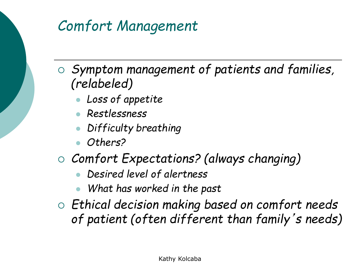## *Comfort Management*

- *Symptom management of patients and families, (relabeled)*
	- ⚫ *Loss of appetite*
	- ⚫ *Restlessness*
	- ⚫ *Difficulty breathing*
	- ⚫ *Others?*
- *Comfort Expectations? (always changing)*
	- ⚫ *Desired level of alertness*
	- ⚫ *What has worked in the past*
- *Ethical decision making based on comfort needs of patient (often different than family*'*s needs)*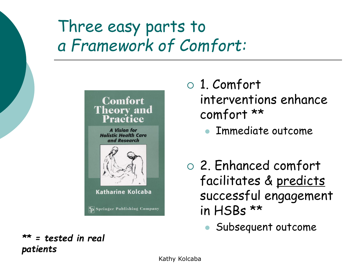## Three easy parts to *a Framework of Comfort:*

#### **Comfort Theory and** Practice

**A** Vision for **Holistic Health Care** and Research



- 1. Comfort interventions enhance comfort \*\*
	- ⚫ Immediate outcome
- 2. Enhanced comfort facilitates & predicts successful engagement in HSBs \*\*
	- ⚫ Subsequent outcome

*\*\* = tested in real patients*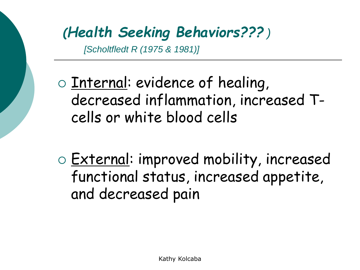## *(Health Seeking Behaviors??? )*

*[Scholtfledt R (1975 & 1981)]*

- $\circ$  Internal: evidence of healing, decreased inflammation, increased Tcells or white blood cells
- o **External: improved mobility, increased** functional status, increased appetite, and decreased pain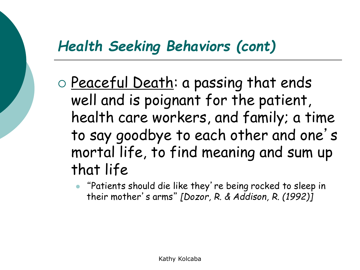### *Health Seeking Behaviors (cont)*

- o Peaceful Death: a passing that ends well and is poignant for the patient, health care workers, and family; a time to say goodbye to each other and one's mortal life, to find meaning and sum up that life
	- ⚫ "Patients should die like they're being rocked to sleep in their mother's arms" *[Dozor, R. & Addison, R. (1992)]*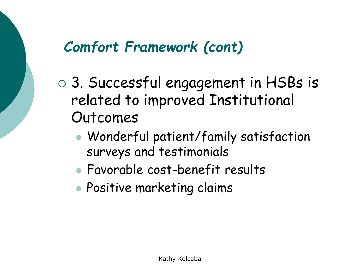## *Comfort Framework (cont)*

- 3. Successful engagement in HSBs is related to improved Institutional Outcomes
	- ⚫ Wonderful patient/family satisfaction surveys and testimonials
	- ⚫ Favorable cost-benefit results
	- ⚫ Positive marketing claims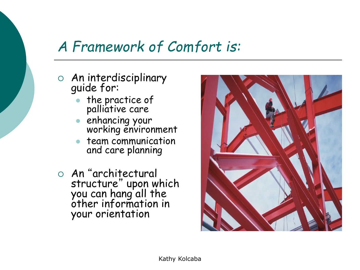### *A Framework of Comfort is:*

- An interdisciplinary guide for:
	- ⚫ the practice of palliative care
	- enhancing your working environment
	- ⚫ team communication and care planning
- An "architectural structure" upon which you can hang all the other information in your orientation

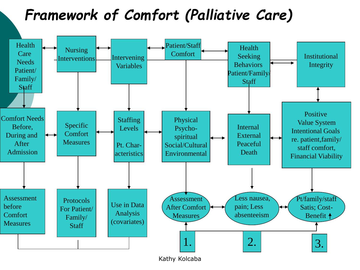## *Framework of Comfort (Palliative Care)*



Kathy Kolcaba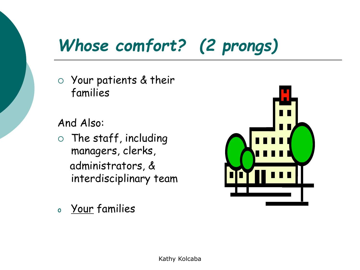## *Whose comfort? (2 prongs)*

 Your patients & their families

And Also:

- $\circ$  The staff, including managers, clerks, administrators, & interdisciplinary team
- o Your families

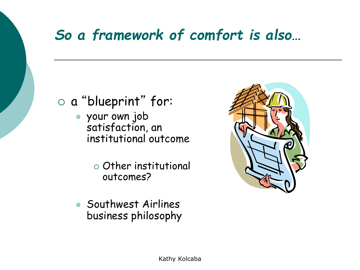## *So a framework of comfort is also…*

#### a "blueprint" for:

- ⚫ your own job satisfaction, an institutional outcome
	- $\circ$  Other institutional outcomes?
- ⚫ Southwest Airlines business philosophy

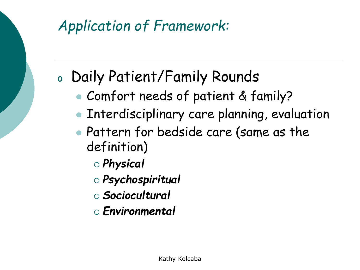

## <sup>o</sup> Daily Patient/Family Rounds

- ⚫ Comfort needs of patient & family?
- ⚫ Interdisciplinary care planning, evaluation
- Pattern for bedside care (same as the definition)
	- *Physical*
	- *Psychospiritual*
	- *Sociocultural*
	- *Environmental*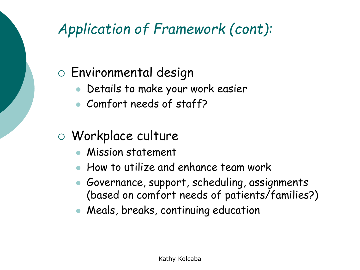## *Application of Framework (cont):*

#### Environmental design

- ⚫ Details to make your work easier
- ⚫ Comfort needs of staff?

#### Workplace culture

- ⚫ Mission statement
- ⚫ How to utilize and enhance team work
- ⚫ Governance, support, scheduling, assignments (based on comfort needs of patients/families?)
- ⚫ Meals, breaks, continuing education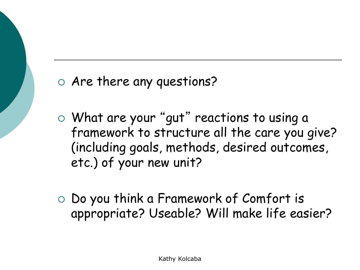Are there any questions?

- What are your "gut" reactions to using a framework to structure all the care you give? (including goals, methods, desired outcomes, etc.) of your new unit?
- $\circ$  Do you think a Framework of Comfort is appropriate? Useable? Will make life easier?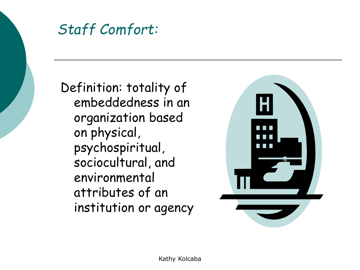

Definition: totality of embeddedness in an organization based on physical, psychospiritual, sociocultural, and environmental attributes of an institution or agency

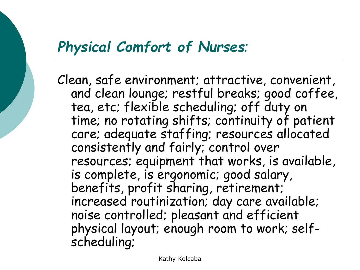#### *Physical Comfort of Nurses:*

Clean, safe environment; attractive, convenient, and clean lounge; restful breaks; good coffee, tea, etc; flexible scheduling; off duty on time; no rotating shifts; continuity of patient care; adequate staffing; resources allocated consistently and fairly; control over resources; equipment that works, is available, is complete, is ergonomic; good salary, benefits, profit sharing, retirement; increased routinization; day care available; noise controlled; pleasant and efficient physical layout; enough room to work; selfscheduling;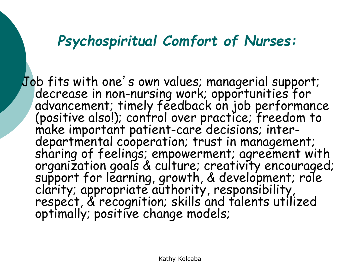#### *Psychospiritual Comfort of Nurses:*

Job fits with one's own values; managerial support; decrease in non-nursing work; opportunities for advancement; timely feedback on job performance (positive also!); control over practice; freedom to make important patient-care decisions; interdepartmental cooperation; trust in management; sharing of feelings; empowerment; agreement with organization goals & culture; creativity encouraged; support for learning, growth, & development; role clarity; appropriate authority, responsibility, respect, & recognition; skills and talents utilized optimally; positive change models;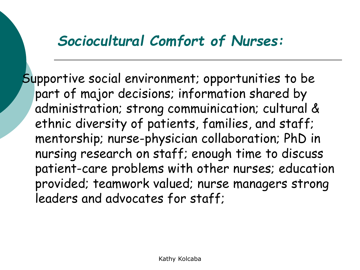#### *Sociocultural Comfort of Nurses:*

Supportive social environment; opportunities to be part of major decisions; information shared by administration; strong commuinication; cultural & ethnic diversity of patients, families, and staff; mentorship; nurse-physician collaboration; PhD in nursing research on staff; enough time to discuss patient-care problems with other nurses; education provided; teamwork valued; nurse managers strong leaders and advocates for staff;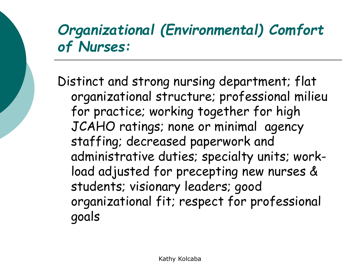## *Organizational (Environmental) Comfort of Nurses:*

Distinct and strong nursing department; flat organizational structure; professional milieu for practice; working together for high JCAHO ratings; none or minimal agency staffing; decreased paperwork and administrative duties; specialty units; workload adjusted for precepting new nurses & students; visionary leaders; good organizational fit; respect for professional goals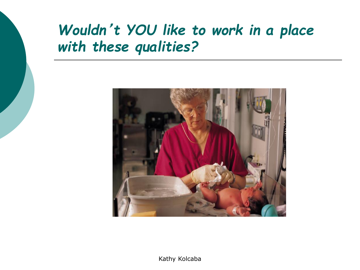## *Wouldn*'*t YOU like to work in a place with these qualities?*



Kathy Kolcaba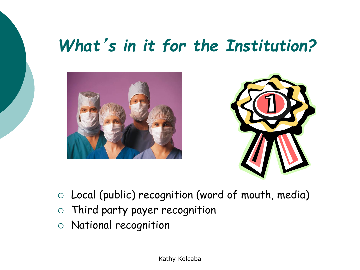## *What*'*s in it for the Institution?*





- Local (public) recognition (word of mouth, media)
- Third party payer recognition
- National recognition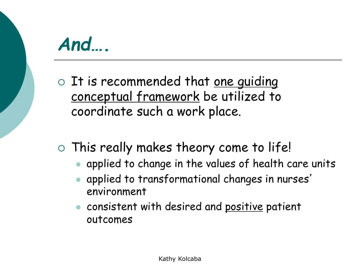## *And….*

 $\circ$  It is recommended that <u>one quiding</u> conceptual framework be utilized to coordinate such a work place.

### This really makes theory come to life!

- ⚫ applied to change in the values of health care units
- ⚫ applied to transformational changes in nurses' environment
- ⚫ consistent with desired and positive patient outcomes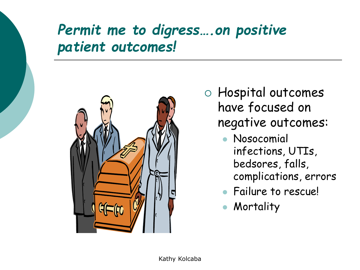## *Permit me to digress….on positive patient outcomes!*



 Hospital outcomes have focused on negative outcomes:

- ⚫ Nosocomial infections, UTIs, bedsores, falls, complications, errors
- ⚫ Failure to rescue!
- ⚫ Mortality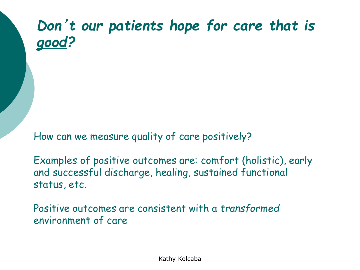## *Don*'*t our patients hope for care that is good?*

How can we measure quality of care positively?

Examples of positive outcomes are: comfort (holistic), early and successful discharge, healing, sustained functional status, etc.

Positive outcomes are consistent with a *transformed* environment of care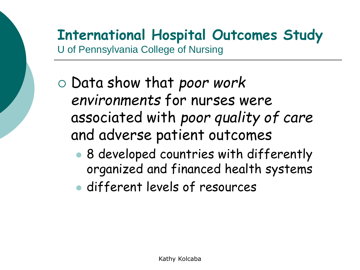#### **International Hospital Outcomes Study** U of Pennsylvania College of Nursing

- Data show that *poor work environments* for nurses were associated with *poor quality of care* and adverse patient outcomes
	- ⚫ 8 developed countries with differently organized and financed health systems
	- ⚫ different levels of resources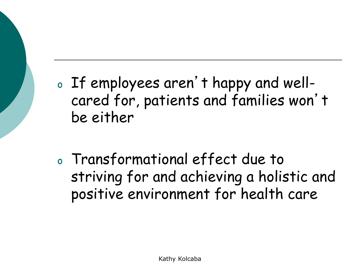- <sup>o</sup> If employees aren't happy and wellcared for, patients and families won't be either
- <sup>o</sup> Transformational effect due to striving for and achieving a holistic and positive environment for health care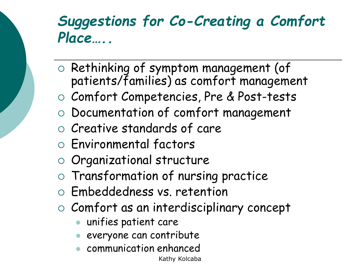### *Suggestions for Co-Creating a Comfort Place…..*

- $\circ$  Rethinking of symptom management (of patients/families) as comfort management
- Comfort Competencies, Pre & Post-tests
- Documentation of comfort management
- $\circ$  Creative standards of care
- Environmental factors
- o Organizational structure
- Transformation of nursing practice
- Embeddedness vs. retention
- $\circ$  Comfort as an interdisciplinary concept
	- ⚫ unifies patient care
	- ⚫ everyone can contribute
	- ⚫ communication enhanced

Kathy Kolcaba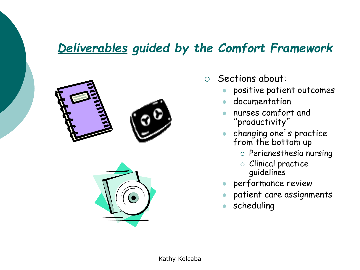#### *Deliverables guided by the Comfort Framework*





- $\circ$  Sections about:
	- ⚫ positive patient outcomes
	- ⚫ documentation
	- ⚫ nurses comfort and "productivity"
	- ⚫ changing one's practice from the bottom up
		- $\circ$  Perianesthesia nursing
		- Clinical practice guidelines
	- ⚫ performance review
	- ⚫ patient care assignments
	- ⚫ scheduling